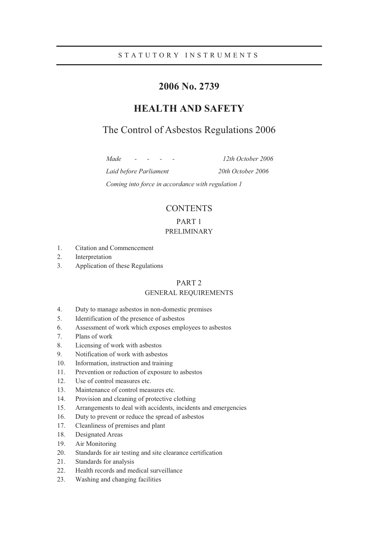## STATUTORY INSTRUMENTS

# **2006 No. 2739**

# **HEALTH AND SAFETY**

# The Control of Asbestos Regulations 2006

*Made - - - - 12th October 2006* 

*Laid before Parliament 20th October 2006* 

*Coming into force in accordance with regulation 1* 

# **CONTENTS**

# PART 1

### PRELIMINARY

- 1. Citation and Commencement
- 2. Interpretation
- 3. Application of these Regulations

### PART 2

### GENERAL REQUIREMENTS

- 4. Duty to manage asbestos in non-domestic premises
- 5. Identification of the presence of asbestos
- 6. Assessment of work which exposes employees to asbestos
- 7. Plans of work
- 8. Licensing of work with asbestos
- 9. Notification of work with asbestos
- 10. Information, instruction and training
- 11. Prevention or reduction of exposure to asbestos
- 12. Use of control measures etc.
- 13. Maintenance of control measures etc.
- 14. Provision and cleaning of protective clothing
- 15. Arrangements to deal with accidents, incidents and emergencies
- 16. Duty to prevent or reduce the spread of asbestos
- 17. Cleanliness of premises and plant
- 18. Designated Areas
- 19. Air Monitoring
- 20. Standards for air testing and site clearance certification
- 21. Standards for analysis
- 22. Health records and medical surveillance
- 23. Washing and changing facilities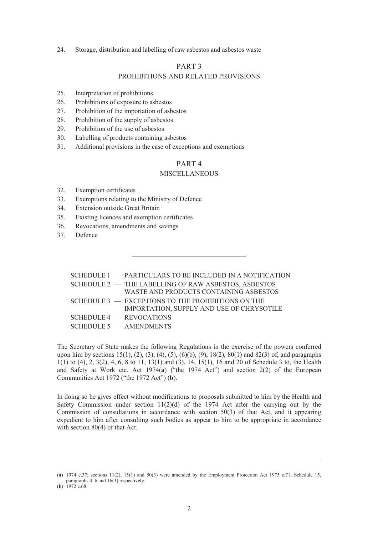24. Storage, distribution and labelling of raw asbestos and asbestos waste

#### PART 3

### PROHIBITIONS AND RELATED PROVISIONS

- 25. Interpretation of prohibitions
- 26. Prohibitions of exposure to asbestos
- 27. Prohibition of the importation of asbestos
- 28. Prohibition of the supply of asbestos
- 29. Prohibition of the use of asbestos
- 30. Labelling of products containing asbestos
- 31. Additional provisions in the case of exceptions and exemptions

# PART 4

### **MISCELLANEOUS**

- 32. Exemption certificates
- 33. Exemptions relating to the Ministry of Defence
- 34. Extension outside Great Britain
- 35. Existing licences and exemption certificates
- 36. Revocations, amendments and savings
- 37. Defence

## SCHEDULE 1 — PARTICULARS TO BE INCLUDED IN A NOTIFICATION SCHEDULE 2 — THE LABELLING OF RAW ASBESTOS, ASBESTOS WASTE AND PRODUCTS CONTAINING ASBESTOS SCHEDULE 3 - EXCEPTIONS TO THE PROHIBITIONS ON THE IMPORTATION, SUPPLY AND USE OF CHRYSOTILE SCHEDULE 4 — REVOCATIONS SCHEDULE 5 — AMENDMENTS

The Secretary of State makes the following Regulations in the exercise of the powers conferred upon him by sections  $15(1)$ ,  $(2)$ ,  $(3)$ ,  $(4)$ ,  $(5)$ ,  $(6)(b)$ ,  $(9)$ ,  $18(2)$ ,  $80(1)$  and  $82(3)$  of, and paragraphs 1(1) to (4), 2, 3(2), 4, 6, 8 to 11, 13(1) and (3), 14, 15(1), 16 and 20 of Schedule 3 to, the Health and Safety at Work etc. Act 1974(**a**) ("the 1974 Act") and section 2(2) of the European Communities Act 1972 ("the 1972 Act") (**b**).

In doing so he gives effect without modifications to proposals submitted to him by the Health and Safety Commission under section  $11(2)(d)$  of the 1974 Act after the carrying out by the Commission of consultations in accordance with section 50(3) of that Act, and it appearing expedient to him after consulting such bodies as appear to him to be appropriate in accordance with section 80(4) of that Act.

<sup>(</sup>**a**) 1974 c.37; sections 11(2), 15(1) and 50(3) were amended by the Employment Protection Act 1975 c.71, Schedule 15, paragraphs 4, 6 and 16(3) respectively.

<sup>(</sup>**b**) 1972 c.68.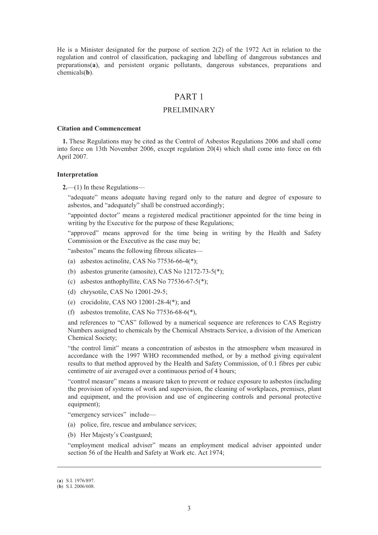He is a Minister designated for the purpose of section 2(2) of the 1972 Act in relation to the regulation and control of classification, packaging and labelling of dangerous substances and preparations(**a**), and persistent organic pollutants, dangerous substances, preparations and chemicals(**b**).

## PART 1

### PRELIMINARY

#### **Citation and Commencement**

**1.** These Regulations may be cited as the Control of Asbestos Regulations 2006 and shall come into force on 13th November 2006, except regulation 20(4) which shall come into force on 6th April 2007.

#### **Interpretation**

**2.**—(1) In these Regulations—

"adequate" means adequate having regard only to the nature and degree of exposure to asbestos, and "adequately" shall be construed accordingly;

"appointed doctor" means a registered medical practitioner appointed for the time being in writing by the Executive for the purpose of these Regulations;

"approved" means approved for the time being in writing by the Health and Safety Commission or the Executive as the case may be;

"asbestos" means the following fibrous silicates—

- (a) asbestos actinolite, CAS No 77536-66-4(\*);
- (b) asbestos grunerite (amosite), CAS No 12172-73-5(\*);
- (c) asbestos anthophyllite, CAS No  $77536-67-5$ <sup>\*</sup>);
- (d) chrysotile, CAS No 12001-29-5;
- (e) crocidolite, CAS NO 12001-28-4(\*); and
- (f) asbestos tremolite, CAS No 77536-68-6(\*),

and references to "CAS" followed by a numerical sequence are references to CAS Registry Numbers assigned to chemicals by the Chemical Abstracts Service, a division of the American Chemical Society;

"the control limit" means a concentration of asbestos in the atmosphere when measured in accordance with the 1997 WHO recommended method, or by a method giving equivalent results to that method approved by the Health and Safety Commission, of 0.1 fibres per cubic centimetre of air averaged over a continuous period of 4 hours;

"control measure" means a measure taken to prevent or reduce exposure to asbestos (including the provision of systems of work and supervision, the cleaning of workplaces, premises, plant and equipment, and the provision and use of engineering controls and personal protective equipment):

"emergency services" include—

- (a) police, fire, rescue and ambulance services;
- (b) Her Majesty's Coastguard;

"employment medical adviser" means an employment medical adviser appointed under section 56 of the Health and Safety at Work etc. Act 1974;

<sup>(</sup>**a**) S.I. 1976/897.

<sup>(</sup>**b**) S.I. 2006/608.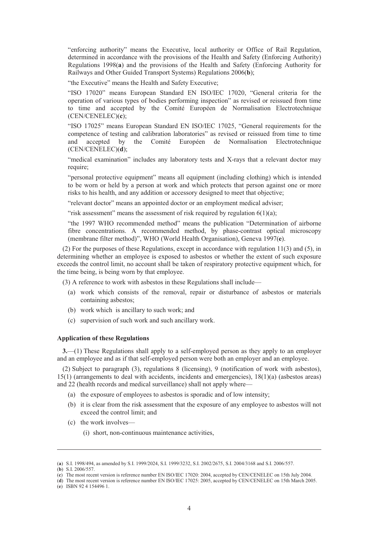"enforcing authority" means the Executive, local authority or Office of Rail Regulation, determined in accordance with the provisions of the Health and Safety (Enforcing Authority) Regulations 1998(**a**) and the provisions of the Health and Safety (Enforcing Authority for Railways and Other Guided Transport Systems) Regulations 2006(**b**);

"the Executive" means the Health and Safety Executive;

"ISO 17020" means European Standard EN ISO/IEC 17020, "General criteria for the operation of various types of bodies performing inspection" as revised or reissued from time to time and accepted by the Comité Européen de Normalisation Electrotechnique (CEN/CENELEC)(**c**);

"ISO 17025" means European Standard EN ISO/IEC 17025, "General requirements for the competence of testing and calibration laboratories" as revised or reissued from time to time and accepted by the Comité Européen de Normalisation Electrotechnique (CEN/CENELEC)(**d**);

"medical examination" includes any laboratory tests and X-rays that a relevant doctor may require:

"personal protective equipment" means all equipment (including clothing) which is intended to be worn or held by a person at work and which protects that person against one or more risks to his health, and any addition or accessory designed to meet that objective;

"relevant doctor" means an appointed doctor or an employment medical adviser;

"risk assessment" means the assessment of risk required by regulation  $6(1)(a)$ ;

"the 1997 WHO recommended method" means the publication "Determination of airborne fibre concentrations. A recommended method, by phase-contrast optical microscopy (membrane filter method)", WHO (World Health Organisation), Geneva 1997(**e**).

(2) For the purposes of these Regulations, except in accordance with regulation 11(3) and (5), in determining whether an employee is exposed to asbestos or whether the extent of such exposure exceeds the control limit, no account shall be taken of respiratory protective equipment which, for the time being, is being worn by that employee.

(3) A reference to work with asbestos in these Regulations shall include—

- (a) work which consists of the removal, repair or disturbance of asbestos or materials containing asbestos;
- (b) work which is ancillary to such work; and
- (c) supervision of such work and such ancillary work.

#### **Application of these Regulations**

**3.**—(1) These Regulations shall apply to a self-employed person as they apply to an employer and an employee and as if that self-employed person were both an employer and an employee.

(2) Subject to paragraph (3), regulations 8 (licensing), 9 (notification of work with asbestos), 15(1) (arrangements to deal with accidents, incidents and emergencies), 18(1)(a) (asbestos areas) and 22 (health records and medical surveillance) shall not apply where-

- (a) the exposure of employees to asbestos is sporadic and of low intensity;
- (b) it is clear from the risk assessment that the exposure of any employee to asbestos will not exceed the control limit; and
- (c) the work involves—
	- (i) short, non-continuous maintenance activities,

<sup>(</sup>**a**) S.I. 1998/494, as amended by S.I. 1999/2024, S.I. 1999/3232, S.I. 2002/2675, S.I. 2004/3168 and S.I. 2006/557.

<sup>(</sup>**b**) S.I. 2006/557.

<sup>(</sup>**c**) The most recent version is reference number EN ISO/IEC 17020: 2004, accepted by CEN/CENELEC on 15th July 2004.

<sup>(</sup>**d**) The most recent version is reference number EN ISO/IEC 17025: 2005, accepted by CEN/CENELEC on 15th March 2005.

<sup>(</sup>**e**) ISBN 92 4 154496 1.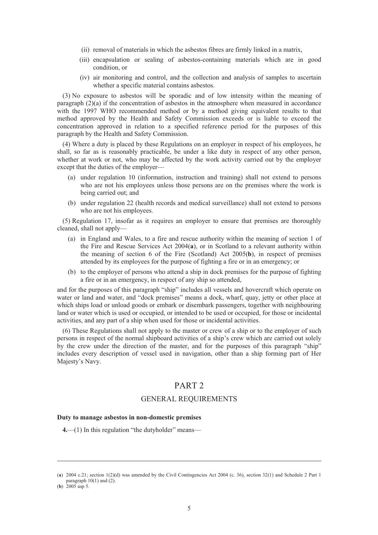- (ii) removal of materials in which the asbestos fibres are firmly linked in a matrix,
- (iii) encapsulation or sealing of asbestos-containing materials which are in good condition, or
- (iv) air monitoring and control, and the collection and analysis of samples to ascertain whether a specific material contains asbestos.

(3) No exposure to asbestos will be sporadic and of low intensity within the meaning of paragraph  $(2)(a)$  if the concentration of asbestos in the atmosphere when measured in accordance with the 1997 WHO recommended method or by a method giving equivalent results to that method approved by the Health and Safety Commission exceeds or is liable to exceed the concentration approved in relation to a specified reference period for the purposes of this paragraph by the Health and Safety Commission.

(4) Where a duty is placed by these Regulations on an employer in respect of his employees, he shall, so far as is reasonably practicable, be under a like duty in respect of any other person, whether at work or not, who may be affected by the work activity carried out by the employer except that the duties of the employer—

- (a) under regulation 10 (information, instruction and training) shall not extend to persons who are not his employees unless those persons are on the premises where the work is being carried out; and
- (b) under regulation 22 (health records and medical surveillance) shall not extend to persons who are not his employees.

(5) Regulation 17, insofar as it requires an employer to ensure that premises are thoroughly cleaned, shall not apply—

- (a) in England and Wales, to a fire and rescue authority within the meaning of section 1 of the Fire and Rescue Services Act 2004(**a**), or in Scotland to a relevant authority within the meaning of section 6 of the Fire (Scotland) Act 2005(**b**), in respect of premises attended by its employees for the purpose of fighting a fire or in an emergency; or
- (b) to the employer of persons who attend a ship in dock premises for the purpose of fighting a fire or in an emergency, in respect of any ship so attended,

and for the purposes of this paragraph "ship" includes all vessels and hovercraft which operate on water or land and water, and "dock premises" means a dock, wharf, quay, jetty or other place at which ships load or unload goods or embark or disembark passengers, together with neighbouring land or water which is used or occupied, or intended to be used or occupied, for those or incidental activities, and any part of a ship when used for those or incidental activities.

(6) These Regulations shall not apply to the master or crew of a ship or to the employer of such persons in respect of the normal shipboard activities of a ship's crew which are carried out solely by the crew under the direction of the master, and for the purposes of this paragraph "ship" includes every description of vessel used in navigation, other than a ship forming part of Her Majesty's Navy.

# PART 2

### GENERAL REQUIREMENTS

#### **Duty to manage asbestos in non-domestic premises**

**4.**—(1) In this regulation "the dutyholder" means—

<sup>(</sup>**a**) 2004 c.21; section 1(2)(d) was amended by the Civil Contingencies Act 2004 (c. 36), section 32(1) and Schedule 2 Part 1 paragraph 10(1) and (2).

<sup>(</sup>**b**) 2005 asp 5.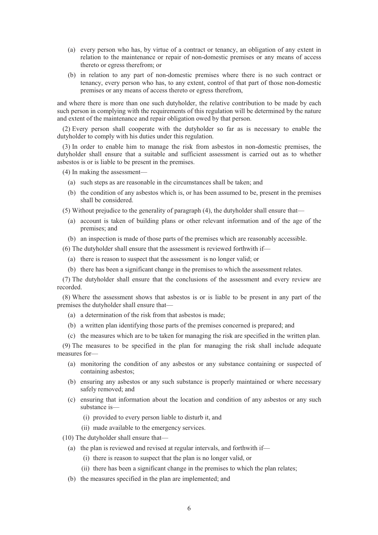- (a) every person who has, by virtue of a contract or tenancy, an obligation of any extent in relation to the maintenance or repair of non-domestic premises or any means of access thereto or egress therefrom; or
- (b) in relation to any part of non-domestic premises where there is no such contract or tenancy, every person who has, to any extent, control of that part of those non-domestic premises or any means of access thereto or egress therefrom,

and where there is more than one such dutyholder, the relative contribution to be made by each such person in complying with the requirements of this regulation will be determined by the nature and extent of the maintenance and repair obligation owed by that person.

(2) Every person shall cooperate with the dutyholder so far as is necessary to enable the dutyholder to comply with his duties under this regulation.

(3) In order to enable him to manage the risk from asbestos in non-domestic premises, the dutyholder shall ensure that a suitable and sufficient assessment is carried out as to whether asbestos is or is liable to be present in the premises.

(4) In making the assessment—

- (a) such steps as are reasonable in the circumstances shall be taken; and
- (b) the condition of any asbestos which is, or has been assumed to be, present in the premises shall be considered.

(5) Without prejudice to the generality of paragraph (4), the dutyholder shall ensure that—

- (a) account is taken of building plans or other relevant information and of the age of the premises; and
- (b) an inspection is made of those parts of the premises which are reasonably accessible.

(6) The dutyholder shall ensure that the assessment is reviewed forthwith if—

- (a) there is reason to suspect that the assessment is no longer valid; or
- (b) there has been a significant change in the premises to which the assessment relates.

(7) The dutyholder shall ensure that the conclusions of the assessment and every review are recorded.

(8) Where the assessment shows that asbestos is or is liable to be present in any part of the premises the dutyholder shall ensure that—

- (a) a determination of the risk from that asbestos is made;
- (b) a written plan identifying those parts of the premises concerned is prepared; and
- (c) the measures which are to be taken for managing the risk are specified in the written plan.

(9) The measures to be specified in the plan for managing the risk shall include adequate measures for—

- (a) monitoring the condition of any asbestos or any substance containing or suspected of containing asbestos;
- (b) ensuring any asbestos or any such substance is properly maintained or where necessary safely removed; and
- (c) ensuring that information about the location and condition of any asbestos or any such substance is—
	- (i) provided to every person liable to disturb it, and
	- (ii) made available to the emergency services.

(10) The dutyholder shall ensure that—

- (a) the plan is reviewed and revised at regular intervals, and forthwith if—
	- (i) there is reason to suspect that the plan is no longer valid, or
	- (ii) there has been a significant change in the premises to which the plan relates;
- (b) the measures specified in the plan are implemented; and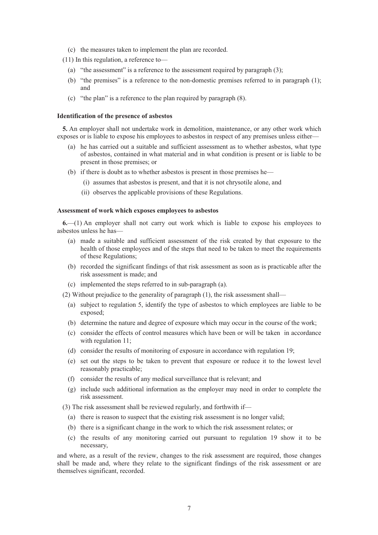- (c) the measures taken to implement the plan are recorded.
- (11) In this regulation, a reference to—
	- (a) "the assessment" is a reference to the assessment required by paragraph (3);
	- (b) "the premises" is a reference to the non-domestic premises referred to in paragraph (1); and
	- (c) "the plan" is a reference to the plan required by paragraph (8).

#### **Identification of the presence of asbestos**

**5.** An employer shall not undertake work in demolition, maintenance, or any other work which exposes or is liable to expose his employees to asbestos in respect of any premises unless either—

- (a) he has carried out a suitable and sufficient assessment as to whether asbestos, what type of asbestos, contained in what material and in what condition is present or is liable to be present in those premises; or
- (b) if there is doubt as to whether asbestos is present in those premises he—
	- (i) assumes that asbestos is present, and that it is not chrysotile alone, and
	- (ii) observes the applicable provisions of these Regulations.

#### **Assessment of work which exposes employees to asbestos**

**6.**—(1) An employer shall not carry out work which is liable to expose his employees to asbestos unless he has—

- (a) made a suitable and sufficient assessment of the risk created by that exposure to the health of those employees and of the steps that need to be taken to meet the requirements of these Regulations;
- (b) recorded the significant findings of that risk assessment as soon as is practicable after the risk assessment is made; and
- (c) implemented the steps referred to in sub-paragraph (a).

(2) Without prejudice to the generality of paragraph (1), the risk assessment shall—

- (a) subject to regulation 5, identify the type of asbestos to which employees are liable to be exposed;
- (b) determine the nature and degree of exposure which may occur in the course of the work;
- (c) consider the effects of control measures which have been or will be taken in accordance with regulation 11;
- (d) consider the results of monitoring of exposure in accordance with regulation 19;
- (e) set out the steps to be taken to prevent that exposure or reduce it to the lowest level reasonably practicable;
- (f) consider the results of any medical surveillance that is relevant; and
- (g) include such additional information as the employer may need in order to complete the risk assessment.

(3) The risk assessment shall be reviewed regularly, and forthwith if—

- (a) there is reason to suspect that the existing risk assessment is no longer valid;
- (b) there is a significant change in the work to which the risk assessment relates; or
- (c) the results of any monitoring carried out pursuant to regulation 19 show it to be necessary,

and where, as a result of the review, changes to the risk assessment are required, those changes shall be made and, where they relate to the significant findings of the risk assessment or are themselves significant, recorded.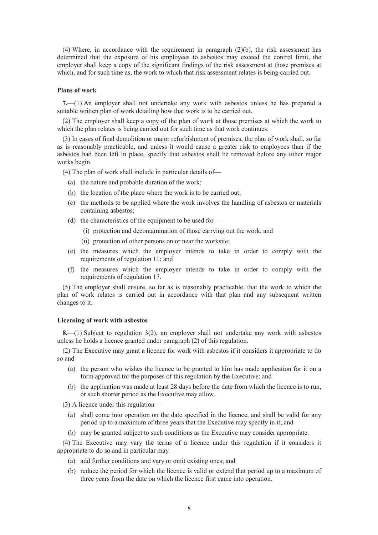(4) Where, in accordance with the requirement in paragraph (2)(b), the risk assessment has determined that the exposure of his employees to asbestos may exceed the control limit, the employer shall keep a copy of the significant findings of the risk assessment at those premises at which, and for such time as, the work to which that risk assessment relates is being carried out.

#### **Plans of work**

**7.**—(1) An employer shall not undertake any work with asbestos unless he has prepared a suitable written plan of work detailing how that work is to be carried out.

(2) The employer shall keep a copy of the plan of work at those premises at which the work to which the plan relates is being carried out for such time as that work continues.

(3) In cases of final demolition or major refurbishment of premises, the plan of work shall, so far as is reasonably practicable, and unless it would cause a greater risk to employees than if the asbestos had been left in place, specify that asbestos shall be removed before any other major works begin.

(4) The plan of work shall include in particular details of—

- (a) the nature and probable duration of the work;
- (b) the location of the place where the work is to be carried out;
- (c) the methods to be applied where the work involves the handling of asbestos or materials containing asbestos;
- (d) the characteristics of the equipment to be used for—
	- (i) protection and decontamination of those carrying out the work, and
	- (ii) protection of other persons on or near the worksite;
- (e) the measures which the employer intends to take in order to comply with the requirements of regulation 11; and
- (f) the measures which the employer intends to take in order to comply with the requirements of regulation 17.

(5) The employer shall ensure, so far as is reasonably practicable, that the work to which the plan of work relates is carried out in accordance with that plan and any subsequent written changes to it.

### **Licensing of work with asbestos**

**8.**—(1) Subject to regulation 3(2), an employer shall not undertake any work with asbestos unless he holds a licence granted under paragraph (2) of this regulation.

(2) The Executive may grant a licence for work with asbestos if it considers it appropriate to do so and—

- (a) the person who wishes the licence to be granted to him has made application for it on a form approved for the purposes of this regulation by the Executive; and
- (b) the application was made at least 28 days before the date from which the licence is to run, or such shorter period as the Executive may allow.

(3) A licence under this regulation—

- (a) shall come into operation on the date specified in the licence, and shall be valid for any period up to a maximum of three years that the Executive may specify in it; and
- (b) may be granted subject to such conditions as the Executive may consider appropriate.

(4) The Executive may vary the terms of a licence under this regulation if it considers it appropriate to do so and in particular may—

- (a) add further conditions and vary or omit existing ones; and
- (b) reduce the period for which the licence is valid or extend that period up to a maximum of three years from the date on which the licence first came into operation.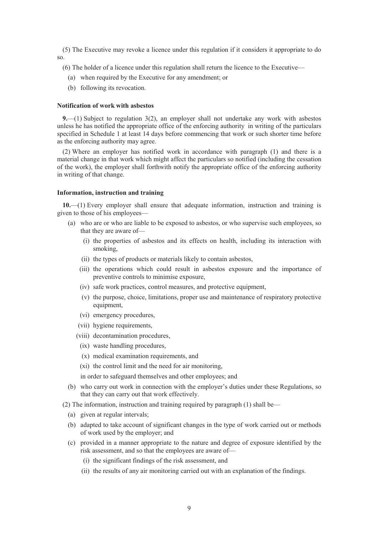(5) The Executive may revoke a licence under this regulation if it considers it appropriate to do so.

(6) The holder of a licence under this regulation shall return the licence to the Executive—

- (a) when required by the Executive for any amendment; or
- (b) following its revocation.

#### **Notification of work with asbestos**

**9.**—(1) Subject to regulation 3(2), an employer shall not undertake any work with asbestos unless he has notified the appropriate office of the enforcing authority in writing of the particulars specified in Schedule 1 at least 14 days before commencing that work or such shorter time before as the enforcing authority may agree.

(2) Where an employer has notified work in accordance with paragraph (1) and there is a material change in that work which might affect the particulars so notified (including the cessation of the work), the employer shall forthwith notify the appropriate office of the enforcing authority in writing of that change.

#### **Information, instruction and training**

**10.**—(1) Every employer shall ensure that adequate information, instruction and training is given to those of his employees—

- (a) who are or who are liable to be exposed to asbestos, or who supervise such employees, so that they are aware of—
	- (i) the properties of asbestos and its effects on health, including its interaction with smoking,
	- (ii) the types of products or materials likely to contain asbestos,
	- (iii) the operations which could result in asbestos exposure and the importance of preventive controls to minimise exposure,
	- (iv) safe work practices, control measures, and protective equipment,
	- (v) the purpose, choice, limitations, proper use and maintenance of respiratory protective equipment,
	- (vi) emergency procedures,
	- (vii) hygiene requirements,
	- (viii) decontamination procedures,
		- (ix) waste handling procedures,
		- (x) medical examination requirements, and
		- (xi) the control limit and the need for air monitoring,
		- in order to safeguard themselves and other employees; and
- (b) who carry out work in connection with the employer's duties under these Regulations, so that they can carry out that work effectively.
- (2) The information, instruction and training required by paragraph (1) shall be—
	- (a) given at regular intervals;
	- (b) adapted to take account of significant changes in the type of work carried out or methods of work used by the employer; and
	- (c) provided in a manner appropriate to the nature and degree of exposure identified by the risk assessment, and so that the employees are aware of—
		- (i) the significant findings of the risk assessment, and
		- (ii) the results of any air monitoring carried out with an explanation of the findings.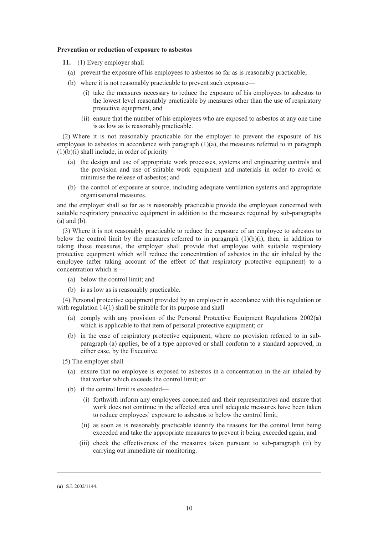#### **Prevention or reduction of exposure to asbestos**

**11.**—(1) Every employer shall—

- (a) prevent the exposure of his employees to asbestos so far as is reasonably practicable;
- (b) where it is not reasonably practicable to prevent such exposure—
	- (i) take the measures necessary to reduce the exposure of his employees to asbestos to the lowest level reasonably practicable by measures other than the use of respiratory protective equipment, and
	- (ii) ensure that the number of his employees who are exposed to asbestos at any one time is as low as is reasonably practicable.

(2) Where it is not reasonably practicable for the employer to prevent the exposure of his employees to asbestos in accordance with paragraph  $(1)(a)$ , the measures referred to in paragraph  $(1)(b)(i)$  shall include, in order of priority—

- (a) the design and use of appropriate work processes, systems and engineering controls and the provision and use of suitable work equipment and materials in order to avoid or minimise the release of asbestos; and
- (b) the control of exposure at source, including adequate ventilation systems and appropriate organisational measures,

and the employer shall so far as is reasonably practicable provide the employees concerned with suitable respiratory protective equipment in addition to the measures required by sub-paragraphs (a) and (b).

(3) Where it is not reasonably practicable to reduce the exposure of an employee to asbestos to below the control limit by the measures referred to in paragraph  $(1)(b)(i)$ , then, in addition to taking those measures, the employer shall provide that employee with suitable respiratory protective equipment which will reduce the concentration of asbestos in the air inhaled by the employee (after taking account of the effect of that respiratory protective equipment) to a concentration which is—

- (a) below the control limit; and
- (b) is as low as is reasonably practicable.

(4) Personal protective equipment provided by an employer in accordance with this regulation or with regulation 14(1) shall be suitable for its purpose and shall—

- (a) comply with any provision of the Personal Protective Equipment Regulations 2002(**a**) which is applicable to that item of personal protective equipment; or
- (b) in the case of respiratory protective equipment, where no provision referred to in subparagraph (a) applies, be of a type approved or shall conform to a standard approved, in either case, by the Executive.

(5) The employer shall—

- (a) ensure that no employee is exposed to asbestos in a concentration in the air inhaled by that worker which exceeds the control limit; or
- (b) if the control limit is exceeded—
	- (i) forthwith inform any employees concerned and their representatives and ensure that work does not continue in the affected area until adequate measures have been taken to reduce employees' exposure to asbestos to below the control limit,
	- (ii) as soon as is reasonably practicable identify the reasons for the control limit being exceeded and take the appropriate measures to prevent it being exceeded again, and
	- (iii) check the effectiveness of the measures taken pursuant to sub-paragraph (ii) by carrying out immediate air monitoring.

<sup>(</sup>**a**) S.I. 2002/1144.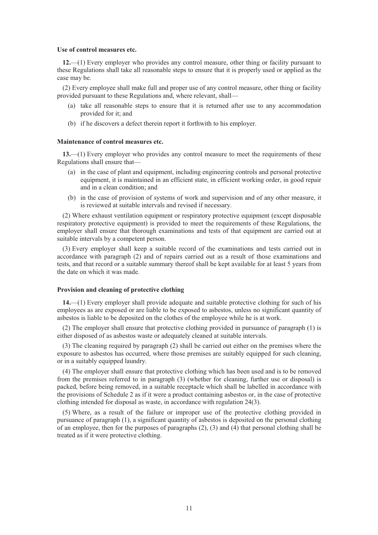#### **Use of control measures etc.**

**12.**—(1) Every employer who provides any control measure, other thing or facility pursuant to these Regulations shall take all reasonable steps to ensure that it is properly used or applied as the case may be.

(2) Every employee shall make full and proper use of any control measure, other thing or facility provided pursuant to these Regulations and, where relevant, shall—

- (a) take all reasonable steps to ensure that it is returned after use to any accommodation provided for it; and
- (b) if he discovers a defect therein report it forthwith to his employer.

#### **Maintenance of control measures etc.**

**13.**—(1) Every employer who provides any control measure to meet the requirements of these Regulations shall ensure that—

- (a) in the case of plant and equipment, including engineering controls and personal protective equipment, it is maintained in an efficient state, in efficient working order, in good repair and in a clean condition; and
- (b) in the case of provision of systems of work and supervision and of any other measure, it is reviewed at suitable intervals and revised if necessary.

(2) Where exhaust ventilation equipment or respiratory protective equipment (except disposable respiratory protective equipment) is provided to meet the requirements of these Regulations, the employer shall ensure that thorough examinations and tests of that equipment are carried out at suitable intervals by a competent person.

(3) Every employer shall keep a suitable record of the examinations and tests carried out in accordance with paragraph (2) and of repairs carried out as a result of those examinations and tests, and that record or a suitable summary thereof shall be kept available for at least 5 years from the date on which it was made.

#### **Provision and cleaning of protective clothing**

**14.**—(1) Every employer shall provide adequate and suitable protective clothing for such of his employees as are exposed or are liable to be exposed to asbestos, unless no significant quantity of asbestos is liable to be deposited on the clothes of the employee while he is at work.

(2) The employer shall ensure that protective clothing provided in pursuance of paragraph (1) is either disposed of as asbestos waste or adequately cleaned at suitable intervals.

(3) The cleaning required by paragraph (2) shall be carried out either on the premises where the exposure to asbestos has occurred, where those premises are suitably equipped for such cleaning, or in a suitably equipped laundry.

(4) The employer shall ensure that protective clothing which has been used and is to be removed from the premises referred to in paragraph (3) (whether for cleaning, further use or disposal) is packed, before being removed, in a suitable receptacle which shall be labelled in accordance with the provisions of Schedule 2 as if it were a product containing asbestos or, in the case of protective clothing intended for disposal as waste, in accordance with regulation 24(3).

(5) Where, as a result of the failure or improper use of the protective clothing provided in pursuance of paragraph (1), a significant quantity of asbestos is deposited on the personal clothing of an employee, then for the purposes of paragraphs (2), (3) and (4) that personal clothing shall be treated as if it were protective clothing.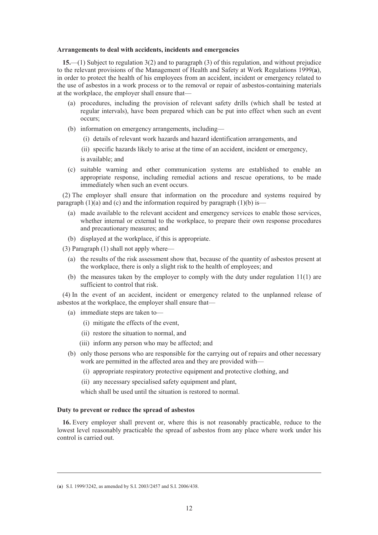#### **Arrangements to deal with accidents, incidents and emergencies**

**15.**—(1) Subject to regulation 3(2) and to paragraph (3) of this regulation, and without prejudice to the relevant provisions of the Management of Health and Safety at Work Regulations 1999(**a**), in order to protect the health of his employees from an accident, incident or emergency related to the use of asbestos in a work process or to the removal or repair of asbestos-containing materials at the workplace, the employer shall ensure that—

- (a) procedures, including the provision of relevant safety drills (which shall be tested at regular intervals), have been prepared which can be put into effect when such an event occurs;
- (b) information on emergency arrangements, including—
	- (i) details of relevant work hazards and hazard identification arrangements, and

(ii) specific hazards likely to arise at the time of an accident, incident or emergency,

is available; and

(c) suitable warning and other communication systems are established to enable an appropriate response, including remedial actions and rescue operations, to be made immediately when such an event occurs.

(2) The employer shall ensure that information on the procedure and systems required by paragraph  $(1)(a)$  and  $(c)$  and the information required by paragraph  $(1)(b)$  is—

- (a) made available to the relevant accident and emergency services to enable those services, whether internal or external to the workplace, to prepare their own response procedures and precautionary measures; and
- (b) displayed at the workplace, if this is appropriate.

(3) Paragraph (1) shall not apply where—

- (a) the results of the risk assessment show that, because of the quantity of asbestos present at the workplace, there is only a slight risk to the health of employees; and
- (b) the measures taken by the employer to comply with the duty under regulation 11(1) are sufficient to control that risk.

(4) In the event of an accident, incident or emergency related to the unplanned release of asbestos at the workplace, the employer shall ensure that—

- (a) immediate steps are taken to—
	- (i) mitigate the effects of the event,
	- (ii) restore the situation to normal, and
	- (iii) inform any person who may be affected; and
- (b) only those persons who are responsible for the carrying out of repairs and other necessary work are permitted in the affected area and they are provided with—
	- (i) appropriate respiratory protective equipment and protective clothing, and
	- (ii) any necessary specialised safety equipment and plant,

which shall be used until the situation is restored to normal.

#### **Duty to prevent or reduce the spread of asbestos**

**16.** Every employer shall prevent or, where this is not reasonably practicable, reduce to the lowest level reasonably practicable the spread of asbestos from any place where work under his control is carried out.

<sup>(</sup>**a**) S.I. 1999/3242, as amended by S.I. 2003/2457 and S.I. 2006/438.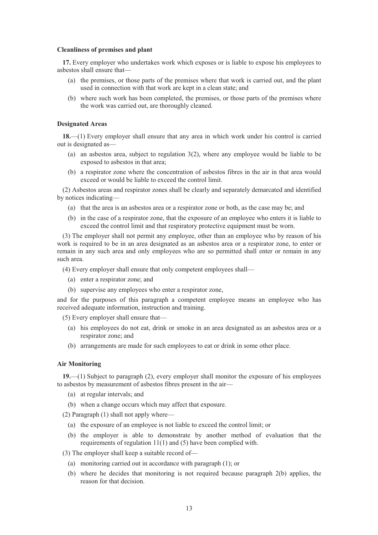#### **Cleanliness of premises and plant**

**17.** Every employer who undertakes work which exposes or is liable to expose his employees to asbestos shall ensure that—

- (a) the premises, or those parts of the premises where that work is carried out, and the plant used in connection with that work are kept in a clean state; and
- (b) where such work has been completed, the premises, or those parts of the premises where the work was carried out, are thoroughly cleaned.

#### **Designated Areas**

**18.**—(1) Every employer shall ensure that any area in which work under his control is carried out is designated as—

- (a) an asbestos area, subject to regulation 3(2), where any employee would be liable to be exposed to asbestos in that area;
- (b) a respirator zone where the concentration of asbestos fibres in the air in that area would exceed or would be liable to exceed the control limit.

(2) Asbestos areas and respirator zones shall be clearly and separately demarcated and identified by notices indicating—

- (a) that the area is an asbestos area or a respirator zone or both, as the case may be; and
- (b) in the case of a respirator zone, that the exposure of an employee who enters it is liable to exceed the control limit and that respiratory protective equipment must be worn.

(3) The employer shall not permit any employee, other than an employee who by reason of his work is required to be in an area designated as an asbestos area or a respirator zone, to enter or remain in any such area and only employees who are so permitted shall enter or remain in any such area.

(4) Every employer shall ensure that only competent employees shall—

- (a) enter a respirator zone; and
- (b) supervise any employees who enter a respirator zone,

and for the purposes of this paragraph a competent employee means an employee who has received adequate information, instruction and training.

(5) Every employer shall ensure that—

- (a) his employees do not eat, drink or smoke in an area designated as an asbestos area or a respirator zone; and
- (b) arrangements are made for such employees to eat or drink in some other place.

#### **Air Monitoring**

**19.**—(1) Subject to paragraph (2), every employer shall monitor the exposure of his employees to asbestos by measurement of asbestos fibres present in the air—

- (a) at regular intervals; and
- (b) when a change occurs which may affect that exposure.

(2) Paragraph (1) shall not apply where—

- (a) the exposure of an employee is not liable to exceed the control limit; or
- (b) the employer is able to demonstrate by another method of evaluation that the requirements of regulation 11(1) and (5) have been complied with.

(3) The employer shall keep a suitable record of—

- (a) monitoring carried out in accordance with paragraph (1); or
- (b) where he decides that monitoring is not required because paragraph 2(b) applies, the reason for that decision.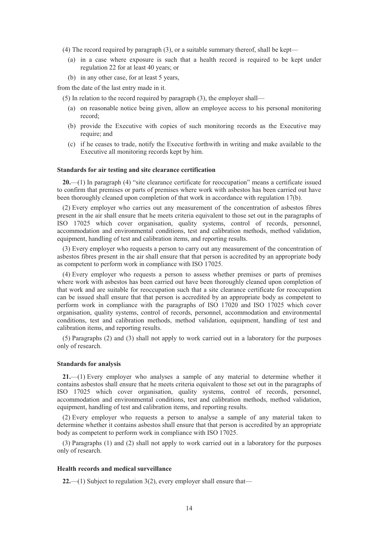- (4) The record required by paragraph (3), or a suitable summary thereof, shall be kept—
	- (a) in a case where exposure is such that a health record is required to be kept under regulation 22 for at least 40 years; or
	- (b) in any other case, for at least 5 years,

from the date of the last entry made in it.

- (5) In relation to the record required by paragraph (3), the employer shall—
	- (a) on reasonable notice being given, allow an employee access to his personal monitoring record;
	- (b) provide the Executive with copies of such monitoring records as the Executive may require; and
	- (c) if he ceases to trade, notify the Executive forthwith in writing and make available to the Executive all monitoring records kept by him.

#### **Standards for air testing and site clearance certification**

**20.**—(1) In paragraph (4) "site clearance certificate for reoccupation" means a certificate issued to confirm that premises or parts of premises where work with asbestos has been carried out have been thoroughly cleaned upon completion of that work in accordance with regulation 17(b).

(2) Every employer who carries out any measurement of the concentration of asbestos fibres present in the air shall ensure that he meets criteria equivalent to those set out in the paragraphs of ISO 17025 which cover organisation, quality systems, control of records, personnel, accommodation and environmental conditions, test and calibration methods, method validation, equipment, handling of test and calibration items, and reporting results.

(3) Every employer who requests a person to carry out any measurement of the concentration of asbestos fibres present in the air shall ensure that that person is accredited by an appropriate body as competent to perform work in compliance with ISO 17025.

(4) Every employer who requests a person to assess whether premises or parts of premises where work with asbestos has been carried out have been thoroughly cleaned upon completion of that work and are suitable for reoccupation such that a site clearance certificate for reoccupation can be issued shall ensure that that person is accredited by an appropriate body as competent to perform work in compliance with the paragraphs of ISO 17020 and ISO 17025 which cover organisation, quality systems, control of records, personnel, accommodation and environmental conditions, test and calibration methods, method validation, equipment, handling of test and calibration items, and reporting results.

(5) Paragraphs (2) and (3) shall not apply to work carried out in a laboratory for the purposes only of research.

#### **Standards for analysis**

**21.**—(1) Every employer who analyses a sample of any material to determine whether it contains asbestos shall ensure that he meets criteria equivalent to those set out in the paragraphs of ISO 17025 which cover organisation, quality systems, control of records, personnel, accommodation and environmental conditions, test and calibration methods, method validation, equipment, handling of test and calibration items, and reporting results.

(2) Every employer who requests a person to analyse a sample of any material taken to determine whether it contains asbestos shall ensure that that person is accredited by an appropriate body as competent to perform work in compliance with ISO 17025.

(3) Paragraphs (1) and (2) shall not apply to work carried out in a laboratory for the purposes only of research.

#### **Health records and medical surveillance**

**22.**—(1) Subject to regulation 3(2), every employer shall ensure that—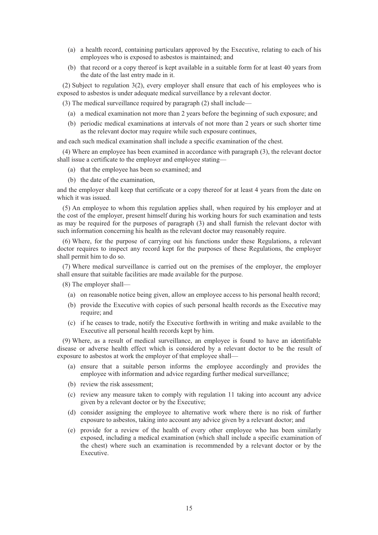- (a) a health record, containing particulars approved by the Executive, relating to each of his employees who is exposed to asbestos is maintained; and
- (b) that record or a copy thereof is kept available in a suitable form for at least 40 years from the date of the last entry made in it.

(2) Subject to regulation 3(2), every employer shall ensure that each of his employees who is exposed to asbestos is under adequate medical surveillance by a relevant doctor.

(3) The medical surveillance required by paragraph (2) shall include—

- (a) a medical examination not more than 2 years before the beginning of such exposure; and
- (b) periodic medical examinations at intervals of not more than 2 years or such shorter time as the relevant doctor may require while such exposure continues,

and each such medical examination shall include a specific examination of the chest.

(4) Where an employee has been examined in accordance with paragraph (3), the relevant doctor shall issue a certificate to the employer and employee stating—

- (a) that the employee has been so examined; and
- (b) the date of the examination,

and the employer shall keep that certificate or a copy thereof for at least 4 years from the date on which it was issued.

(5) An employee to whom this regulation applies shall, when required by his employer and at the cost of the employer, present himself during his working hours for such examination and tests as may be required for the purposes of paragraph (3) and shall furnish the relevant doctor with such information concerning his health as the relevant doctor may reasonably require.

(6) Where, for the purpose of carrying out his functions under these Regulations, a relevant doctor requires to inspect any record kept for the purposes of these Regulations, the employer shall permit him to do so.

(7) Where medical surveillance is carried out on the premises of the employer, the employer shall ensure that suitable facilities are made available for the purpose.

(8) The employer shall—

- (a) on reasonable notice being given, allow an employee access to his personal health record;
- (b) provide the Executive with copies of such personal health records as the Executive may require; and
- (c) if he ceases to trade, notify the Executive forthwith in writing and make available to the Executive all personal health records kept by him.

(9) Where, as a result of medical surveillance, an employee is found to have an identifiable disease or adverse health effect which is considered by a relevant doctor to be the result of exposure to asbestos at work the employer of that employee shall—

- (a) ensure that a suitable person informs the employee accordingly and provides the employee with information and advice regarding further medical surveillance;
- (b) review the risk assessment;
- (c) review any measure taken to comply with regulation 11 taking into account any advice given by a relevant doctor or by the Executive;
- (d) consider assigning the employee to alternative work where there is no risk of further exposure to asbestos, taking into account any advice given by a relevant doctor; and
- (e) provide for a review of the health of every other employee who has been similarly exposed, including a medical examination (which shall include a specific examination of the chest) where such an examination is recommended by a relevant doctor or by the Executive.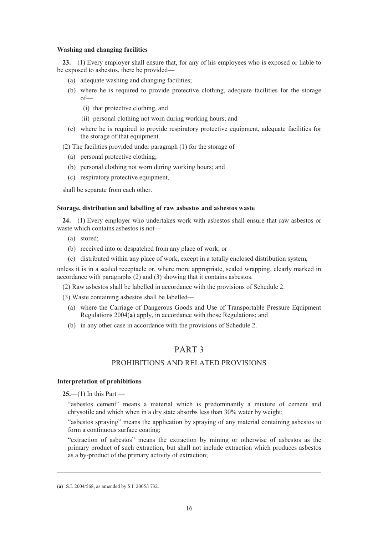#### **Washing and changing facilities**

**23.**—(1) Every employer shall ensure that, for any of his employees who is exposed or liable to be exposed to asbestos, there be provided—

- (a) adequate washing and changing facilities;
- (b) where he is required to provide protective clothing, adequate facilities for the storage of—
	- (i) that protective clothing, and
	- (ii) personal clothing not worn during working hours; and
- (c) where he is required to provide respiratory protective equipment, adequate facilities for the storage of that equipment.
- (2) The facilities provided under paragraph (1) for the storage of—
	- (a) personal protective clothing;
	- (b) personal clothing not worn during working hours; and
	- (c) respiratory protective equipment,

shall be separate from each other.

### **Storage, distribution and labelling of raw asbestos and asbestos waste**

**24.**—(1) Every employer who undertakes work with asbestos shall ensure that raw asbestos or waste which contains asbestos is not—

- (a) stored;
- (b) received into or despatched from any place of work; or
- (c) distributed within any place of work, except in a totally enclosed distribution system,

unless it is in a sealed receptacle or, where more appropriate, sealed wrapping, clearly marked in accordance with paragraphs (2) and (3) showing that it contains asbestos.

(2) Raw asbestos shall be labelled in accordance with the provisions of Schedule 2.

(3) Waste containing asbestos shall be labelled—

- (a) where the Carriage of Dangerous Goods and Use of Transportable Pressure Equipment Regulations 2004(**a**) apply, in accordance with those Regulations; and
- (b) in any other case in accordance with the provisions of Schedule 2.

# PART 3

### PROHIBITIONS AND RELATED PROVISIONS

#### **Interpretation of prohibitions**

**25.**—(1) In this Part —

-

"asbestos cement" means a material which is predominantly a mixture of cement and chrysotile and which when in a dry state absorbs less than 30% water by weight;

"asbestos spraying" means the application by spraying of any material containing asbestos to form a continuous surface coating;

"extraction of asbestos" means the extraction by mining or otherwise of asbestos as the primary product of such extraction, but shall not include extraction which produces asbestos as a by-product of the primary activity of extraction;

<sup>(</sup>**a**) S.I. 2004/568, as amended by S.I. 2005/1732.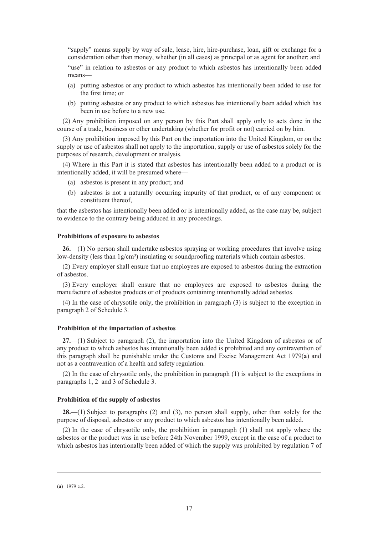"supply" means supply by way of sale, lease, hire, hire-purchase, loan, gift or exchange for a consideration other than money, whether (in all cases) as principal or as agent for another; and "use" in relation to asbestos or any product to which asbestos has intentionally been added means—

- (a) putting asbestos or any product to which asbestos has intentionally been added to use for the first time; or
- (b) putting asbestos or any product to which asbestos has intentionally been added which has been in use before to a new use.

(2) Any prohibition imposed on any person by this Part shall apply only to acts done in the course of a trade, business or other undertaking (whether for profit or not) carried on by him.

(3) Any prohibition imposed by this Part on the importation into the United Kingdom, or on the supply or use of asbestos shall not apply to the importation, supply or use of asbestos solely for the purposes of research, development or analysis.

(4) Where in this Part it is stated that asbestos has intentionally been added to a product or is intentionally added, it will be presumed where—

- (a) asbestos is present in any product; and
- (b) asbestos is not a naturally occurring impurity of that product, or of any component or constituent thereof,

that the asbestos has intentionally been added or is intentionally added, as the case may be, subject to evidence to the contrary being adduced in any proceedings.

#### **Prohibitions of exposure to asbestos**

**26.**—(1) No person shall undertake asbestos spraying or working procedures that involve using low-density (less than  $1g/cm<sup>3</sup>$ ) insulating or soundproofing materials which contain asbestos.

(2) Every employer shall ensure that no employees are exposed to asbestos during the extraction of asbestos.

(3) Every employer shall ensure that no employees are exposed to asbestos during the manufacture of asbestos products or of products containing intentionally added asbestos.

(4) In the case of chrysotile only, the prohibition in paragraph (3) is subject to the exception in paragraph 2 of Schedule 3.

#### **Prohibition of the importation of asbestos**

**27.**—(1) Subject to paragraph (2), the importation into the United Kingdom of asbestos or of any product to which asbestos has intentionally been added is prohibited and any contravention of this paragraph shall be punishable under the Customs and Excise Management Act 1979(**a**) and not as a contravention of a health and safety regulation.

(2) In the case of chrysotile only, the prohibition in paragraph (1) is subject to the exceptions in paragraphs 1, 2 and 3 of Schedule 3.

#### **Prohibition of the supply of asbestos**

**28.**—(1) Subject to paragraphs (2) and (3), no person shall supply, other than solely for the purpose of disposal, asbestos or any product to which asbestos has intentionally been added.

(2) In the case of chrysotile only, the prohibition in paragraph (1) shall not apply where the asbestos or the product was in use before 24th November 1999, except in the case of a product to which asbestos has intentionally been added of which the supply was prohibited by regulation 7 of

<sup>(</sup>**a**) 1979 c.2.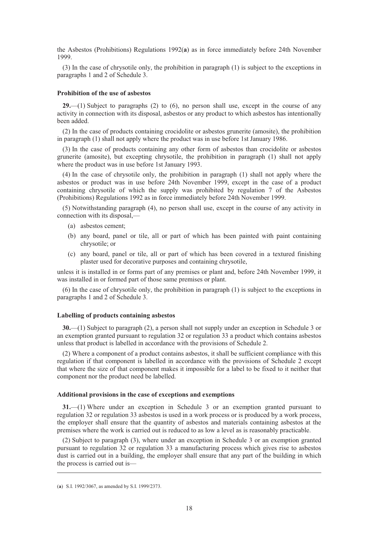the Asbestos (Prohibitions) Regulations 1992(**a**) as in force immediately before 24th November 1999.

(3) In the case of chrysotile only, the prohibition in paragraph (1) is subject to the exceptions in paragraphs 1 and 2 of Schedule 3.

#### **Prohibition of the use of asbestos**

**29.**—(1) Subject to paragraphs (2) to (6), no person shall use, except in the course of any activity in connection with its disposal, asbestos or any product to which asbestos has intentionally been added.

(2) In the case of products containing crocidolite or asbestos grunerite (amosite), the prohibition in paragraph (1) shall not apply where the product was in use before 1st January 1986.

(3) In the case of products containing any other form of asbestos than crocidolite or asbestos grunerite (amosite), but excepting chrysotile, the prohibition in paragraph (1) shall not apply where the product was in use before 1st January 1993.

(4) In the case of chrysotile only, the prohibition in paragraph (1) shall not apply where the asbestos or product was in use before 24th November 1999, except in the case of a product containing chrysotile of which the supply was prohibited by regulation 7 of the Asbestos (Prohibitions) Regulations 1992 as in force immediately before 24th November 1999.

(5) Notwithstanding paragraph (4), no person shall use, except in the course of any activity in connection with its disposal,—

- (a) asbestos cement;
- (b) any board, panel or tile, all or part of which has been painted with paint containing chrysotile; or
- (c) any board, panel or tile, all or part of which has been covered in a textured finishing plaster used for decorative purposes and containing chrysotile,

unless it is installed in or forms part of any premises or plant and, before 24th November 1999, it was installed in or formed part of those same premises or plant.

(6) In the case of chrysotile only, the prohibition in paragraph (1) is subject to the exceptions in paragraphs 1 and 2 of Schedule 3.

#### **Labelling of products containing asbestos**

**30.**—(1) Subject to paragraph (2), a person shall not supply under an exception in Schedule 3 or an exemption granted pursuant to regulation 32 or regulation 33 a product which contains asbestos unless that product is labelled in accordance with the provisions of Schedule 2.

(2) Where a component of a product contains asbestos, it shall be sufficient compliance with this regulation if that component is labelled in accordance with the provisions of Schedule 2 except that where the size of that component makes it impossible for a label to be fixed to it neither that component nor the product need be labelled.

#### **Additional provisions in the case of exceptions and exemptions**

**31.**—(1) Where under an exception in Schedule 3 or an exemption granted pursuant to regulation 32 or regulation 33 asbestos is used in a work process or is produced by a work process, the employer shall ensure that the quantity of asbestos and materials containing asbestos at the premises where the work is carried out is reduced to as low a level as is reasonably practicable.

(2) Subject to paragraph (3), where under an exception in Schedule 3 or an exemption granted pursuant to regulation 32 or regulation 33 a manufacturing process which gives rise to asbestos dust is carried out in a building, the employer shall ensure that any part of the building in which the process is carried out is—

<sup>(</sup>**a**) S.I. 1992/3067, as amended by S.I. 1999/2373.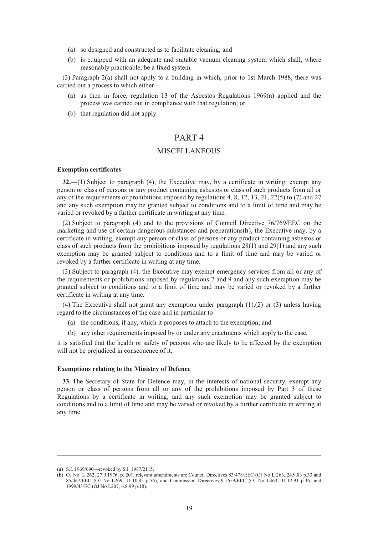- (a) so designed and constructed as to facilitate cleaning; and
- (b) is equipped with an adequate and suitable vacuum cleaning system which shall, where reasonably practicable, be a fixed system.

(3) Paragraph 2(a) shall not apply to a building in which, prior to 1st March 1988, there was carried out a process to which either—

- (a) as then in force, regulation 13 of the Asbestos Regulations 1969(**a**) applied and the process was carried out in compliance with that regulation; or
- (b) that regulation did not apply.

## PART 4

### **MISCELLANEOUS**

#### **Exemption certificates**

**32.**—(1) Subject to paragraph (4), the Executive may, by a certificate in writing, exempt any person or class of persons or any product containing asbestos or class of such products from all or any of the requirements or prohibitions imposed by regulations 4, 8, 12, 13, 21, 22(5) to (7) and 27 and any such exemption may be granted subject to conditions and to a limit of time and may be varied or revoked by a further certificate in writing at any time.

(2) Subject to paragraph (4) and to the provisions of Council Directive 76/769/EEC on the marketing and use of certain dangerous substances and preparations(**b**), the Executive may, by a certificate in writing, exempt any person or class of persons or any product containing asbestos or class of such products from the prohibitions imposed by regulations  $28(1)$  and  $29(1)$  and any such exemption may be granted subject to conditions and to a limit of time and may be varied or revoked by a further certificate in writing at any time.

(3) Subject to paragraph (4), the Executive may exempt emergency services from all or any of the requirements or prohibitions imposed by regulations 7 and 9 and any such exemption may be granted subject to conditions and to a limit of time and may be varied or revoked by a further certificate in writing at any time.

(4) The Executive shall not grant any exemption under paragraph (1),(2) or (3) unless having regard to the circumstances of the case and in particular to—

- (a) the conditions, if any, which it proposes to attach to the exemption; and
- (b) any other requirements imposed by or under any enactments which apply to the case,

it is satisfied that the health or safety of persons who are likely to be affected by the exemption will not be prejudiced in consequence of it.

#### **Exemptions relating to the Ministry of Defence**

**33.** The Secretary of State for Defence may, in the interests of national security, exempt any person or class of persons from all or any of the prohibitions imposed by Part 3 of these Regulations by a certificate in writing, and any such exemption may be granted subject to conditions and to a limit of time and may be varied or revoked by a further certificate in writing at any time.

<sup>(</sup>**a**) S.I. 1969/690—revoked by S.I. 1987/2115.

<sup>(</sup>**b**) OJ No. L 262, 27.9.1976, p. 201, relevant amendments are Council Directives 83/478/EEC (OJ No L 263, 24.9.83 p.33 and 85/467/EEC (OJ No L269, 11.10.85 p.56), and Commission Directives 91/659/EEC (OJ No L363, 31.12.91 p.36) and 1999/43/EC (OJ No L207, 6.8.99 p.18).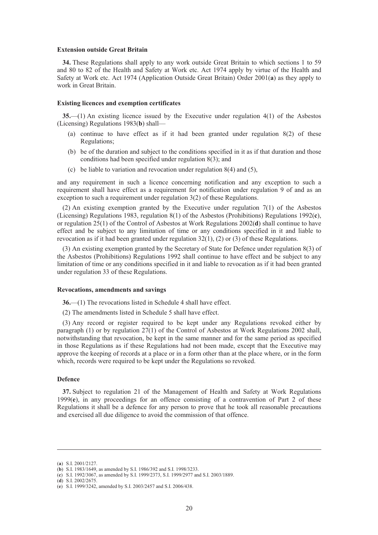#### **Extension outside Great Britain**

**34.** These Regulations shall apply to any work outside Great Britain to which sections 1 to 59 and 80 to 82 of the Health and Safety at Work etc. Act 1974 apply by virtue of the Health and Safety at Work etc. Act 1974 (Application Outside Great Britain) Order 2001(**a**) as they apply to work in Great Britain.

#### **Existing licences and exemption certificates**

**35.**—(1) An existing licence issued by the Executive under regulation 4(1) of the Asbestos (Licensing) Regulations 1983(**b**) shall—

- (a) continue to have effect as if it had been granted under regulation 8(2) of these Regulations;
- (b) be of the duration and subject to the conditions specified in it as if that duration and those conditions had been specified under regulation 8(3); and
- (c) be liable to variation and revocation under regulation 8(4) and (5),

and any requirement in such a licence concerning notification and any exception to such a requirement shall have effect as a requirement for notification under regulation 9 of and as an exception to such a requirement under regulation 3(2) of these Regulations.

(2) An existing exemption granted by the Executive under regulation 7(1) of the Asbestos (Licensing) Regulations 1983, regulation 8(1) of the Asbestos (Prohibitions) Regulations 1992(**c**), or regulation 25(1) of the Control of Asbestos at Work Regulations 2002(**d**) shall continue to have effect and be subject to any limitation of time or any conditions specified in it and liable to revocation as if it had been granted under regulation  $32(1)$ ,  $(2)$  or  $(3)$  of these Regulations.

(3) An existing exemption granted by the Secretary of State for Defence under regulation 8(3) of the Asbestos (Prohibitions) Regulations 1992 shall continue to have effect and be subject to any limitation of time or any conditions specified in it and liable to revocation as if it had been granted under regulation 33 of these Regulations.

#### **Revocations, amendments and savings**

**36.**—(1) The revocations listed in Schedule 4 shall have effect.

(2) The amendments listed in Schedule 5 shall have effect.

(3) Any record or register required to be kept under any Regulations revoked either by paragraph (1) or by regulation  $27(1)$  of the Control of Asbestos at Work Regulations 2002 shall, notwithstanding that revocation, be kept in the same manner and for the same period as specified in those Regulations as if these Regulations had not been made, except that the Executive may approve the keeping of records at a place or in a form other than at the place where, or in the form which, records were required to be kept under the Regulations so revoked.

#### **Defence**

**37.** Subject to regulation 21 of the Management of Health and Safety at Work Regulations 1999(**e**), in any proceedings for an offence consisting of a contravention of Part 2 of these Regulations it shall be a defence for any person to prove that he took all reasonable precautions and exercised all due diligence to avoid the commission of that offence.

<sup>(</sup>**a**) S.I. 2001/2127.

<sup>(</sup>**b**) S.I. 1983/1649, as amended by S.I. 1986/392 and S.I. 1998/3233.

<sup>(</sup>**c**) S.I. 1992/3067, as amended by S.I. 1999/2373, S.I. 1999/2977 and S.I. 2003/1889.

<sup>(</sup>**d**) S.I. 2002/2675.

<sup>(</sup>**e**) S.I. 1999/3242, amended by S.I. 2003/2457 and S.I. 2006/438.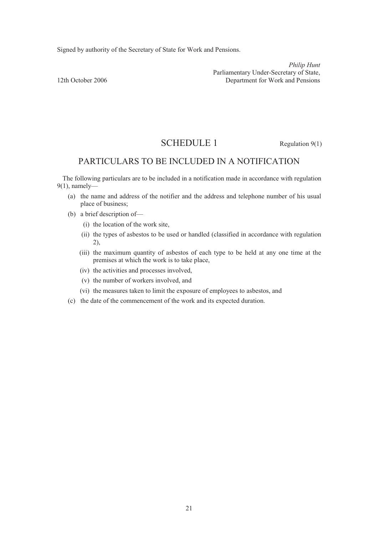Signed by authority of the Secretary of State for Work and Pensions.

*Philip Hunt*  Parliamentary Under-Secretary of State,<br>12th October 2006 <br>
Parliamentary Under-Secretary of State,<br>
Department for Work and Pensions Department for Work and Pensions

# SCHEDULE 1 Regulation 9(1)

# PARTICULARS TO BE INCLUDED IN A NOTIFICATION

The following particulars are to be included in a notification made in accordance with regulation 9(1), namely—

- (a) the name and address of the notifier and the address and telephone number of his usual place of business;
- (b) a brief description of—
	- (i) the location of the work site,
	- (ii) the types of asbestos to be used or handled (classified in accordance with regulation 2),
	- (iii) the maximum quantity of asbestos of each type to be held at any one time at the premises at which the work is to take place,
	- (iv) the activities and processes involved,
	- (v) the number of workers involved, and
	- (vi) the measures taken to limit the exposure of employees to asbestos, and
- (c) the date of the commencement of the work and its expected duration.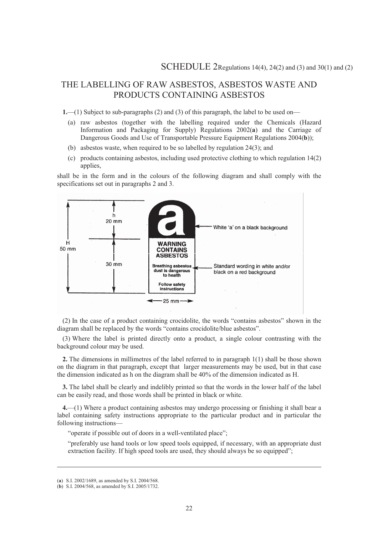# THE LABELLING OF RAW ASBESTOS, ASBESTOS WASTE AND PRODUCTS CONTAINING ASBESTOS

**1.**—(1) Subject to sub-paragraphs (2) and (3) of this paragraph, the label to be used on—

- (a) raw asbestos (together with the labelling required under the Chemicals (Hazard Information and Packaging for Supply) Regulations 2002(**a**) and the Carriage of Dangerous Goods and Use of Transportable Pressure Equipment Regulations 2004(**b**));
- (b) asbestos waste, when required to be so labelled by regulation 24(3); and
- (c) products containing asbestos, including used protective clothing to which regulation 14(2) applies,

shall be in the form and in the colours of the following diagram and shall comply with the specifications set out in paragraphs 2 and 3.





(3) Where the label is printed directly onto a product, a single colour contrasting with the background colour may be used.

**2.** The dimensions in millimetres of the label referred to in paragraph 1(1) shall be those shown on the diagram in that paragraph, except that larger measurements may be used, but in that case the dimension indicated as h on the diagram shall be 40% of the dimension indicated as H.

**3.** The label shall be clearly and indelibly printed so that the words in the lower half of the label can be easily read, and those words shall be printed in black or white.

**4.**—(1) Where a product containing asbestos may undergo processing or finishing it shall bear a label containing safety instructions appropriate to the particular product and in particular the following instructions—

"operate if possible out of doors in a well-ventilated place";

"preferably use hand tools or low speed tools equipped, if necessary, with an appropriate dust extraction facility. If high speed tools are used, they should always be so equipped";

<sup>(</sup>**a**) S.I. 2002/1689, as amended by S.I. 2004/568.

<sup>(</sup>**b**) S.I. 2004/568, as amended by S.I. 2005/1732.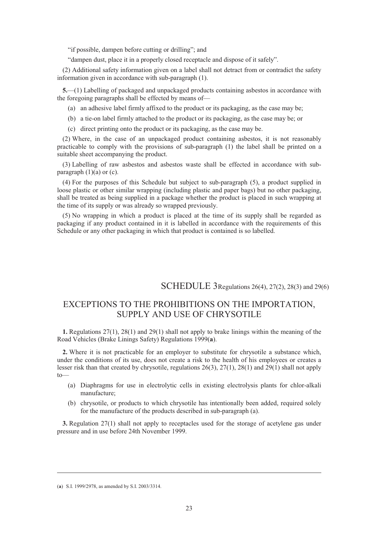"if possible, dampen before cutting or drilling"; and

"dampen dust, place it in a properly closed receptacle and dispose of it safely".

(2) Additional safety information given on a label shall not detract from or contradict the safety information given in accordance with sub-paragraph (1).

**5.**—(1) Labelling of packaged and unpackaged products containing asbestos in accordance with the foregoing paragraphs shall be effected by means of—

- (a) an adhesive label firmly affixed to the product or its packaging, as the case may be;
- (b) a tie-on label firmly attached to the product or its packaging, as the case may be; or
- (c) direct printing onto the product or its packaging, as the case may be.

(2) Where, in the case of an unpackaged product containing asbestos, it is not reasonably practicable to comply with the provisions of sub-paragraph (1) the label shall be printed on a suitable sheet accompanying the product.

(3) Labelling of raw asbestos and asbestos waste shall be effected in accordance with subparagraph  $(1)(a)$  or  $(c)$ .

(4) For the purposes of this Schedule but subject to sub-paragraph (5), a product supplied in loose plastic or other similar wrapping (including plastic and paper bags) but no other packaging, shall be treated as being supplied in a package whether the product is placed in such wrapping at the time of its supply or was already so wrapped previously.

(5) No wrapping in which a product is placed at the time of its supply shall be regarded as packaging if any product contained in it is labelled in accordance with the requirements of this Schedule or any other packaging in which that product is contained is so labelled.

SCHEDULE 3Regulations 26(4), 27(2), 28(3) and 29(6)

# EXCEPTIONS TO THE PROHIBITIONS ON THE IMPORTATION, SUPPLY AND USE OF CHRYSOTILE

**1.** Regulations 27(1), 28(1) and 29(1) shall not apply to brake linings within the meaning of the Road Vehicles (Brake Linings Safety) Regulations 1999(**a**).

**2.** Where it is not practicable for an employer to substitute for chrysotile a substance which, under the conditions of its use, does not create a risk to the health of his employees or creates a lesser risk than that created by chrysotile, regulations 26(3), 27(1), 28(1) and 29(1) shall not apply  $t_0$ —

- (a) Diaphragms for use in electrolytic cells in existing electrolysis plants for chlor-alkali manufacture;
- (b) chrysotile, or products to which chrysotile has intentionally been added, required solely for the manufacture of the products described in sub-paragraph (a).

**3.** Regulation 27(1) shall not apply to receptacles used for the storage of acetylene gas under pressure and in use before 24th November 1999.

<sup>(</sup>**a**) S.I. 1999/2978, as amended by S.I. 2003/3314.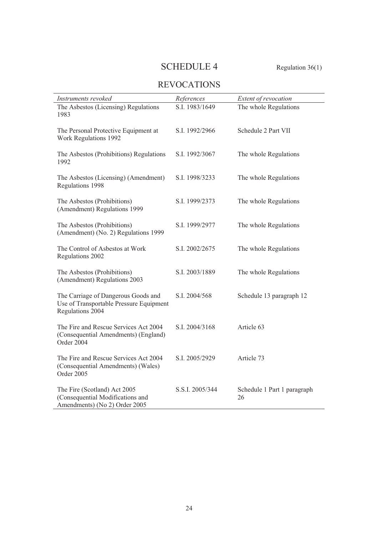# SCHEDULE 4 Regulation 36(1)

# REVOCATIONS

| Instruments revoked                                                                                | References      | Extent of revocation              |
|----------------------------------------------------------------------------------------------------|-----------------|-----------------------------------|
| The Asbestos (Licensing) Regulations<br>1983                                                       | S.I. 1983/1649  | The whole Regulations             |
| The Personal Protective Equipment at<br>Work Regulations 1992                                      | S.I. 1992/2966  | Schedule 2 Part VII               |
| The Asbestos (Prohibitions) Regulations<br>1992                                                    | S.I. 1992/3067  | The whole Regulations             |
| The Asbestos (Licensing) (Amendment)<br>Regulations 1998                                           | S.I. 1998/3233  | The whole Regulations             |
| The Asbestos (Prohibitions)<br>(Amendment) Regulations 1999                                        | S.I. 1999/2373  | The whole Regulations             |
| The Asbestos (Prohibitions)<br>(Amendment) (No. 2) Regulations 1999                                | S.I. 1999/2977  | The whole Regulations             |
| The Control of Asbestos at Work<br>Regulations 2002                                                | S.I. 2002/2675  | The whole Regulations             |
| The Asbestos (Prohibitions)<br>(Amendment) Regulations 2003                                        | S.I. 2003/1889  | The whole Regulations             |
| The Carriage of Dangerous Goods and<br>Use of Transportable Pressure Equipment<br>Regulations 2004 | S.I. 2004/568   | Schedule 13 paragraph 12          |
| The Fire and Rescue Services Act 2004<br>(Consequential Amendments) (England)<br>Order 2004        | S.I. 2004/3168  | Article 63                        |
| The Fire and Rescue Services Act 2004<br>(Consequential Amendments) (Wales)<br>Order 2005          | S.I. 2005/2929  | Article 73                        |
| The Fire (Scotland) Act 2005<br>(Consequential Modifications and<br>Amendments) (No 2) Order 2005  | S.S.I. 2005/344 | Schedule 1 Part 1 paragraph<br>26 |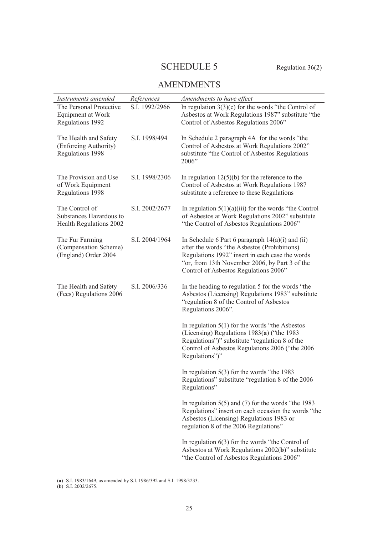# SCHEDULE 5 Regulation 36(2)

# AMENDMENTS

| Instruments amended                                                  | References     | Amendments to have effect                                                                                                                                                                                                                          |
|----------------------------------------------------------------------|----------------|----------------------------------------------------------------------------------------------------------------------------------------------------------------------------------------------------------------------------------------------------|
| The Personal Protective<br>Equipment at Work<br>Regulations 1992     | S.I. 1992/2966 | In regulation $3(3)(c)$ for the words "the Control of<br>Asbestos at Work Regulations 1987" substitute "the<br>Control of Asbestos Regulations 2006"                                                                                               |
| The Health and Safety<br>(Enforcing Authority)<br>Regulations 1998   | S.I. 1998/494  | In Schedule 2 paragraph 4A for the words "the<br>Control of Asbestos at Work Regulations 2002"<br>substitute "the Control of Asbestos Regulations<br>2006"                                                                                         |
| The Provision and Use<br>of Work Equipment<br>Regulations 1998       | S.I. 1998/2306 | In regulation $12(5)(b)$ for the reference to the<br>Control of Asbestos at Work Regulations 1987<br>substitute a reference to these Regulations                                                                                                   |
| The Control of<br>Substances Hazardous to<br>Health Regulations 2002 | S.I. 2002/2677 | In regulation $5(1)(a)(iii)$ for the words "the Control"<br>of Asbestos at Work Regulations 2002" substitute<br>"the Control of Asbestos Regulations 2006"                                                                                         |
| The Fur Farming<br>(Compensation Scheme)<br>(England) Order 2004     | S.I. 2004/1964 | In Schedule 6 Part 6 paragraph $14(a)(i)$ and $(ii)$<br>after the words "the Asbestos (Prohibitions)<br>Regulations 1992" insert in each case the words<br>"or, from 13th November 2006, by Part 3 of the<br>Control of Asbestos Regulations 2006" |
| The Health and Safety<br>(Fees) Regulations 2006                     | S.I. 2006/336  | In the heading to regulation 5 for the words "the<br>Asbestos (Licensing) Regulations 1983" substitute<br>"regulation 8 of the Control of Asbestos<br>Regulations 2006".                                                                           |
|                                                                      |                | In regulation $5(1)$ for the words "the Asbestos"<br>(Licensing) Regulations 1983(a) ("the 1983<br>Regulations")" substitute "regulation 8 of the<br>Control of Asbestos Regulations 2006 ("the 2006<br>Regulations")"                             |
|                                                                      |                | In regulation $5(3)$ for the words "the 1983<br>Regulations" substitute "regulation 8 of the 2006<br>Regulations"                                                                                                                                  |
|                                                                      |                | In regulation $5(5)$ and (7) for the words "the 1983<br>Regulations" insert on each occasion the words "the<br>Asbestos (Licensing) Regulations 1983 or<br>regulation 8 of the 2006 Regulations"                                                   |
|                                                                      |                | In regulation $6(3)$ for the words "the Control of<br>Asbestos at Work Regulations 2002(b)" substitute<br>"the Control of Asbestos Regulations 2006"                                                                                               |

<sup>(</sup>**a**) S.I. 1983/1649, as amended by S.I. 1986/392 and S.I. 1998/3233.

<sup>(</sup>**b**) S.I. 2002/2675.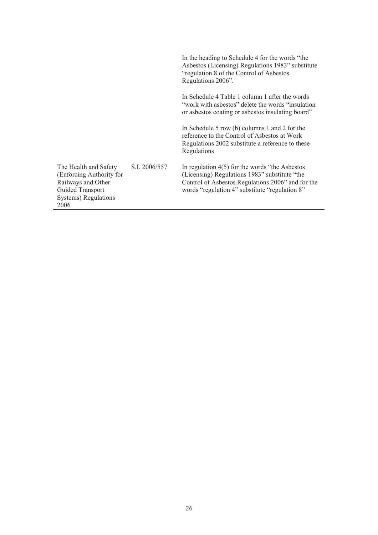|                                                                                                                             |               | In the heading to Schedule 4 for the words "the<br>Asbestos (Licensing) Regulations 1983" substitute<br>"regulation 8 of the Control of Asbestos"<br>Regulations 2006".                                   |
|-----------------------------------------------------------------------------------------------------------------------------|---------------|-----------------------------------------------------------------------------------------------------------------------------------------------------------------------------------------------------------|
|                                                                                                                             |               | In Schedule 4 Table 1 column 1 after the words<br>"work with asbestos" delete the words "insulation"<br>or asbestos coating or asbestos insulating board"                                                 |
|                                                                                                                             |               | In Schedule 5 row (b) columns 1 and 2 for the<br>reference to the Control of Asbestos at Work<br>Regulations 2002 substitute a reference to these<br>Regulations                                          |
| The Health and Safety<br>(Enforcing Authority for<br>Railways and Other<br>Guided Transport<br>Systems) Regulations<br>2006 | S.I. 2006/557 | In regulation $4(5)$ for the words "the Asbestos"<br>(Licensing) Regulations 1983" substitute "the<br>Control of Asbestos Regulations 2006" and for the<br>words "regulation 4" substitute "regulation 8" |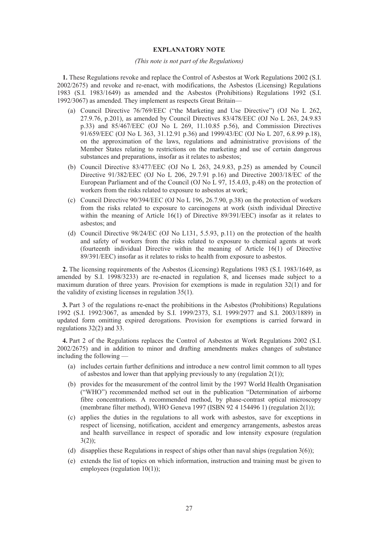#### **EXPLANATORY NOTE**

#### *(This note is not part of the Regulations)*

**1.** These Regulations revoke and replace the Control of Asbestos at Work Regulations 2002 (S.I. 2002/2675) and revoke and re-enact, with modifications, the Asbestos (Licensing) Regulations 1983 (S.I. 1983/1649) as amended and the Asbestos (Prohibitions) Regulations 1992 (S.I. 1992/3067) as amended. They implement as respects Great Britain—

- (a) Council Directive 76/769/EEC ("the Marketing and Use Directive") (OJ No L 262, 27.9.76, p.201), as amended by Council Directives 83/478/EEC (OJ No L 263, 24.9.83 p.33) and 85/467/EEC (OJ No L 269, 11.10.85 p.56), and Commission Directives 91/659/EEC (OJ No L 363, 31.12.91 p.36) and 1999/43/EC (OJ No L 207, 6.8.99 p.18), on the approximation of the laws, regulations and administrative provisions of the Member States relating to restrictions on the marketing and use of certain dangerous substances and preparations, insofar as it relates to asbestos;
- (b) Council Directive 83/477/EEC (OJ No L 263, 24.9.83, p.25) as amended by Council Directive 91/382/EEC (OJ No L 206, 29.7.91 p.16) and Directive 2003/18/EC of the European Parliament and of the Council (OJ No L 97, 15.4.03, p.48) on the protection of workers from the risks related to exposure to asbestos at work;
- (c) Council Directive 90/394/EEC (OJ No L 196, 26.7.90, p.38) on the protection of workers from the risks related to exposure to carcinogens at work (sixth individual Directive within the meaning of Article 16(1) of Directive 89/391/EEC) insofar as it relates to asbestos; and
- (d) Council Directive 98/24/EC (OJ No L131, 5.5.93, p.11) on the protection of the health and safety of workers from the risks related to exposure to chemical agents at work (fourteenth individual Directive within the meaning of Article 16(1) of Directive 89/391/EEC) insofar as it relates to risks to health from exposure to asbestos.

**2.** The licensing requirements of the Asbestos (Licensing) Regulations 1983 (S.I. 1983/1649, as amended by S.I. 1998/3233) are re-enacted in regulation 8, and licenses made subject to a maximum duration of three years. Provision for exemptions is made in regulation 32(1) and for the validity of existing licenses in regulation 35(1).

**3.** Part 3 of the regulations re-enact the prohibitions in the Asbestos (Prohibitions) Regulations 1992 (S.I. 1992/3067, as amended by S.I. 1999/2373, S.I. 1999/2977 and S.I. 2003/1889) in updated form omitting expired derogations. Provision for exemptions is carried forward in regulations 32(2) and 33.

**4.** Part 2 of the Regulations replaces the Control of Asbestos at Work Regulations 2002 (S.I. 2002/2675) and in addition to minor and drafting amendments makes changes of substance including the following —

- (a) includes certain further definitions and introduce a new control limit common to all types of asbestos and lower than that applying previously to any (regulation  $2(1)$ );
- (b) provides for the measurement of the control limit by the 1997 World Health Organisation ("WHO") recommended method set out in the publication "Determination of airborne fibre concentrations. A recommended method, by phase-contrast optical microscopy (membrane filter method), WHO Geneva 1997 (ISBN 92 4 154496 1) (regulation 2(1));
- (c) applies the duties in the regulations to all work with asbestos, save for exceptions in respect of licensing, notification, accident and emergency arrangements, asbestos areas and health surveillance in respect of sporadic and low intensity exposure (regulation  $3(2)$ ;
- (d) disapplies these Regulations in respect of ships other than naval ships (regulation 3(6));
- (e) extends the list of topics on which information, instruction and training must be given to employees (regulation 10(1));